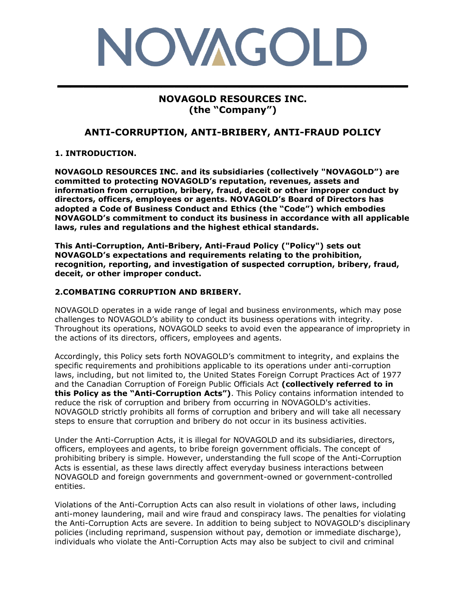# NOVAGOLD **\_\_\_\_\_\_\_\_\_\_\_\_\_\_\_\_\_\_\_\_\_\_\_\_\_\_\_**

## **NOVAGOLD RESOURCES INC. (the "Company")**

## **ANTI-CORRUPTION, ANTI-BRIBERY, ANTI-FRAUD POLICY**

### **1. INTRODUCTION.**

**NOVAGOLD RESOURCES INC. and its subsidiaries (collectively "NOVAGOLD") are committed to protecting NOVAGOLD's reputation, revenues, assets and information from corruption, bribery, fraud, deceit or other improper conduct by directors, officers, employees or agents. NOVAGOLD's Board of Directors has adopted a Code of Business Conduct and Ethics (the "Code") which embodies NOVAGOLD's commitment to conduct its business in accordance with all applicable laws, rules and regulations and the highest ethical standards.**

**This Anti-Corruption, Anti-Bribery, Anti-Fraud Policy ("Policy") sets out NOVAGOLD's expectations and requirements relating to the prohibition, recognition, reporting, and investigation of suspected corruption, bribery, fraud, deceit, or other improper conduct.**

#### **2.COMBATING CORRUPTION AND BRIBERY.**

NOVAGOLD operates in a wide range of legal and business environments, which may pose challenges to NOVAGOLD's ability to conduct its business operations with integrity. Throughout its operations, NOVAGOLD seeks to avoid even the appearance of impropriety in the actions of its directors, officers, employees and agents.

Accordingly, this Policy sets forth NOVAGOLD's commitment to integrity, and explains the specific requirements and prohibitions applicable to its operations under anti-corruption laws, including, but not limited to, the United States Foreign Corrupt Practices Act of 1977 and the Canadian Corruption of Foreign Public Officials Act **(collectively referred to in this Policy as the "Anti-Corruption Acts")**. This Policy contains information intended to reduce the risk of corruption and bribery from occurring in NOVAGOLD's activities. NOVAGOLD strictly prohibits all forms of corruption and bribery and will take all necessary steps to ensure that corruption and bribery do not occur in its business activities.

Under the Anti-Corruption Acts, it is illegal for NOVAGOLD and its subsidiaries, directors, officers, employees and agents, to bribe foreign government officials. The concept of prohibiting bribery is simple. However, understanding the full scope of the Anti-Corruption Acts is essential, as these laws directly affect everyday business interactions between NOVAGOLD and foreign governments and government-owned or government-controlled entities.

Violations of the Anti-Corruption Acts can also result in violations of other laws, including anti-money laundering, mail and wire fraud and conspiracy laws. The penalties for violating the Anti-Corruption Acts are severe. In addition to being subject to NOVAGOLD's disciplinary policies (including reprimand, suspension without pay, demotion or immediate discharge), individuals who violate the Anti-Corruption Acts may also be subject to civil and criminal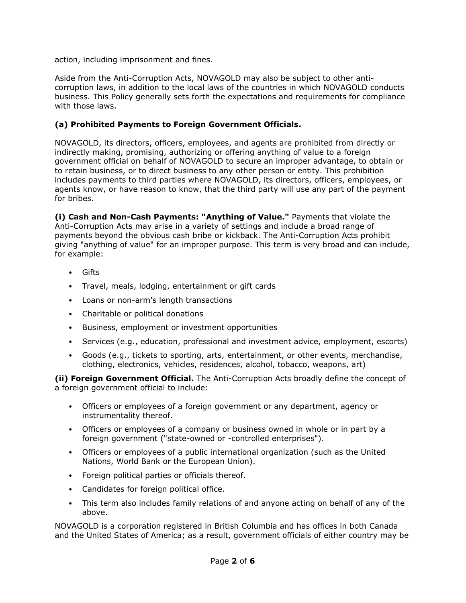action, including imprisonment and fines.

Aside from the Anti-Corruption Acts, NOVAGOLD may also be subject to other anticorruption laws, in addition to the local laws of the countries in which NOVAGOLD conducts business. This Policy generally sets forth the expectations and requirements for compliance with those laws.

#### **(a) Prohibited Payments to Foreign Government Officials.**

NOVAGOLD, its directors, officers, employees, and agents are prohibited from directly or indirectly making, promising, authorizing or offering anything of value to a foreign government official on behalf of NOVAGOLD to secure an improper advantage, to obtain or to retain business, or to direct business to any other person or entity. This prohibition includes payments to third parties where NOVAGOLD, its directors, officers, employees, or agents know, or have reason to know, that the third party will use any part of the payment for bribes.

**(i) Cash and Non-Cash Payments: "Anything of Value."** Payments that violate the Anti-Corruption Acts may arise in a variety of settings and include a broad range of payments beyond the obvious cash bribe or kickback. The Anti-Corruption Acts prohibit giving "anything of value" for an improper purpose. This term is very broad and can include, for example:

- Gifts
- Travel, meals, lodging, entertainment or gift cards
- Loans or non-arm's length transactions
- Charitable or political donations
- Business, employment or investment opportunities
- Services (e.g., education, professional and investment advice, employment, escorts)
- Goods (e.g., tickets to sporting, arts, entertainment, or other events, merchandise, clothing, electronics, vehicles, residences, alcohol, tobacco, weapons, art)

**(ii) Foreign Government Official.** The Anti-Corruption Acts broadly define the concept of a foreign government official to include:

- Officers or employees of a foreign government or any department, agency or instrumentality thereof.
- Officers or employees of a company or business owned in whole or in part by a foreign government ("state-owned or -controlled enterprises").
- Officers or employees of a public international organization (such as the United Nations, World Bank or the European Union).
- Foreign political parties or officials thereof.
- Candidates for foreign political office.
- This term also includes family relations of and anyone acting on behalf of any of the above.

NOVAGOLD is a corporation registered in British Columbia and has offices in both Canada and the United States of America; as a result, government officials of either country may be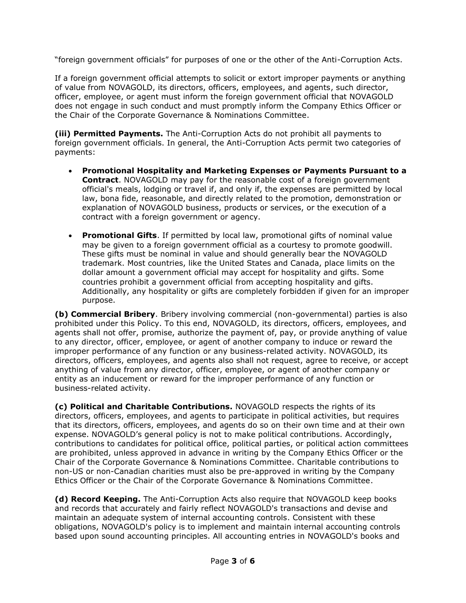"foreign government officials" for purposes of one or the other of the Anti-Corruption Acts.

If a foreign government official attempts to solicit or extort improper payments or anything of value from NOVAGOLD, its directors, officers, employees, and agents, such director, officer, employee, or agent must inform the foreign government official that NOVAGOLD does not engage in such conduct and must promptly inform the Company Ethics Officer or the Chair of the Corporate Governance & Nominations Committee.

**(iii) Permitted Payments.** The Anti-Corruption Acts do not prohibit all payments to foreign government officials. In general, the Anti-Corruption Acts permit two categories of payments:

- **Promotional Hospitality and Marketing Expenses or Payments Pursuant to a Contract**. NOVAGOLD may pay for the reasonable cost of a foreign government official's meals, lodging or travel if, and only if, the expenses are permitted by local law, bona fide, reasonable, and directly related to the promotion, demonstration or explanation of NOVAGOLD business, products or services, or the execution of a contract with a foreign government or agency.
- **Promotional Gifts**. If permitted by local law, promotional gifts of nominal value may be given to a foreign government official as a courtesy to promote goodwill. These gifts must be nominal in value and should generally bear the NOVAGOLD trademark. Most countries, like the United States and Canada, place limits on the dollar amount a government official may accept for hospitality and gifts. Some countries prohibit a government official from accepting hospitality and gifts. Additionally, any hospitality or gifts are completely forbidden if given for an improper purpose.

**(b) Commercial Bribery**. Bribery involving commercial (non-governmental) parties is also prohibited under this Policy. To this end, NOVAGOLD, its directors, officers, employees, and agents shall not offer, promise, authorize the payment of, pay, or provide anything of value to any director, officer, employee, or agent of another company to induce or reward the improper performance of any function or any business-related activity. NOVAGOLD, its directors, officers, employees, and agents also shall not request, agree to receive, or accept anything of value from any director, officer, employee, or agent of another company or entity as an inducement or reward for the improper performance of any function or business-related activity.

**(c) Political and Charitable Contributions.** NOVAGOLD respects the rights of its directors, officers, employees, and agents to participate in political activities, but requires that its directors, officers, employees, and agents do so on their own time and at their own expense. NOVAGOLD's general policy is not to make political contributions. Accordingly, contributions to candidates for political office, political parties, or political action committees are prohibited, unless approved in advance in writing by the Company Ethics Officer or the Chair of the Corporate Governance & Nominations Committee. Charitable contributions to non-US or non-Canadian charities must also be pre-approved in writing by the Company Ethics Officer or the Chair of the Corporate Governance & Nominations Committee.

**(d) Record Keeping.** The Anti-Corruption Acts also require that NOVAGOLD keep books and records that accurately and fairly reflect NOVAGOLD's transactions and devise and maintain an adequate system of internal accounting controls. Consistent with these obligations, NOVAGOLD's policy is to implement and maintain internal accounting controls based upon sound accounting principles. All accounting entries in NOVAGOLD's books and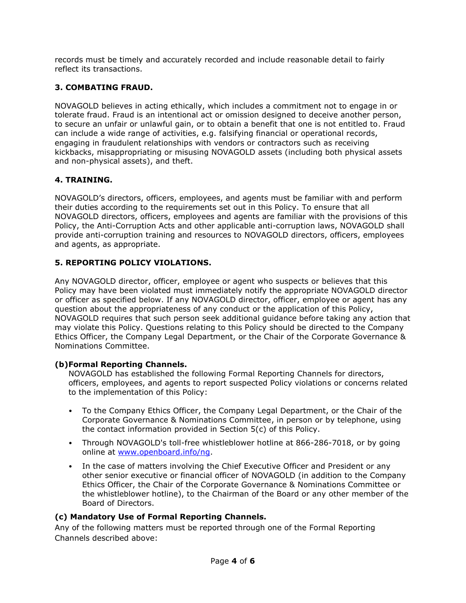records must be timely and accurately recorded and include reasonable detail to fairly reflect its transactions.

## **3. COMBATING FRAUD.**

NOVAGOLD believes in acting ethically, which includes a commitment not to engage in or tolerate fraud. Fraud is an intentional act or omission designed to deceive another person, to secure an unfair or unlawful gain, or to obtain a benefit that one is not entitled to. Fraud can include a wide range of activities, e.g. falsifying financial or operational records, engaging in fraudulent relationships with vendors or contractors such as receiving kickbacks, misappropriating or misusing NOVAGOLD assets (including both physical assets and non-physical assets), and theft.

## **4. TRAINING.**

NOVAGOLD's directors, officers, employees, and agents must be familiar with and perform their duties according to the requirements set out in this Policy. To ensure that all NOVAGOLD directors, officers, employees and agents are familiar with the provisions of this Policy, the Anti-Corruption Acts and other applicable anti-corruption laws, NOVAGOLD shall provide anti-corruption training and resources to NOVAGOLD directors, officers, employees and agents, as appropriate.

## **5. REPORTING POLICY VIOLATIONS.**

Any NOVAGOLD director, officer, employee or agent who suspects or believes that this Policy may have been violated must immediately notify the appropriate NOVAGOLD director or officer as specified below. If any NOVAGOLD director, officer, employee or agent has any question about the appropriateness of any conduct or the application of this Policy, NOVAGOLD requires that such person seek additional guidance before taking any action that may violate this Policy. Questions relating to this Policy should be directed to the Company Ethics Officer, the Company Legal Department, or the Chair of the Corporate Governance & Nominations Committee.

### **(b)Formal Reporting Channels.**

NOVAGOLD has established the following Formal Reporting Channels for directors, officers, employees, and agents to report suspected Policy violations or concerns related to the implementation of this Policy:

- To the Company Ethics Officer, the Company Legal Department, or the Chair of the Corporate Governance & Nominations Committee, in person or by telephone, using the contact information provided in Section 5(c) of this Policy.
- Through NOVAGOLD's toll-free whistleblower hotline at 866-286-7018, or by going online at [www.openboard.info/ng.](http://www.openboard.info/ng)
- In the case of matters involving the Chief Executive Officer and President or any other senior executive or financial officer of NOVAGOLD (in addition to the Company Ethics Officer, the Chair of the Corporate Governance & Nominations Committee or the whistleblower hotline), to the Chairman of the Board or any other member of the Board of Directors.

## **(c) Mandatory Use of Formal Reporting Channels.**

Any of the following matters must be reported through one of the Formal Reporting Channels described above: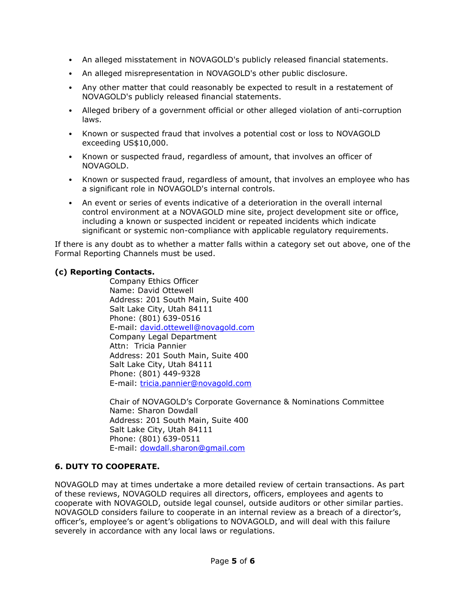- An alleged misstatement in NOVAGOLD's publicly released financial statements.
- An alleged misrepresentation in NOVAGOLD's other public disclosure.
- Any other matter that could reasonably be expected to result in a restatement of NOVAGOLD's publicly released financial statements.
- Alleged bribery of a government official or other alleged violation of anti-corruption laws.
- Known or suspected fraud that involves a potential cost or loss to NOVAGOLD exceeding US\$10,000.
- Known or suspected fraud, regardless of amount, that involves an officer of NOVAGOLD.
- Known or suspected fraud, regardless of amount, that involves an employee who has a significant role in NOVAGOLD's internal controls.
- An event or series of events indicative of a deterioration in the overall internal control environment at a NOVAGOLD mine site, project development site or office, including a known or suspected incident or repeated incidents which indicate significant or systemic non-compliance with applicable regulatory requirements.

If there is any doubt as to whether a matter falls within a category set out above, one of the Formal Reporting Channels must be used.

#### **(c) Reporting Contacts.**

Company Ethics Officer Name: David Ottewell Address: 201 South Main, Suite 400 Salt Lake City, Utah 84111 Phone: (801) 639-0516 E-mail: [david.ottewell@novagold.com](mailto:david.ottewell@novagold.com) Company Legal Department Attn: Tricia Pannier Address: 201 South Main, Suite 400 Salt Lake City, Utah 84111 Phone: (801) 449-9328 E-mail: tricia.pannier@novagold.com

Chair of NOVAGOLD's Corporate Governance & Nominations Committee Name: Sharon Dowdall Address: 201 South Main, Suite 400 Salt Lake City, Utah 84111 Phone: (801) 639-0511 E-mail: [dowdall.sharon@gmail.com](mailto:dowdall.sharon@gmail.com)

#### **6. DUTY TO COOPERATE.**

NOVAGOLD may at times undertake a more detailed review of certain transactions. As part of these reviews, NOVAGOLD requires all directors, officers, employees and agents to cooperate with NOVAGOLD, outside legal counsel, outside auditors or other similar parties. NOVAGOLD considers failure to cooperate in an internal review as a breach of a director's, officer's, employee's or agent's obligations to NOVAGOLD, and will deal with this failure severely in accordance with any local laws or regulations.